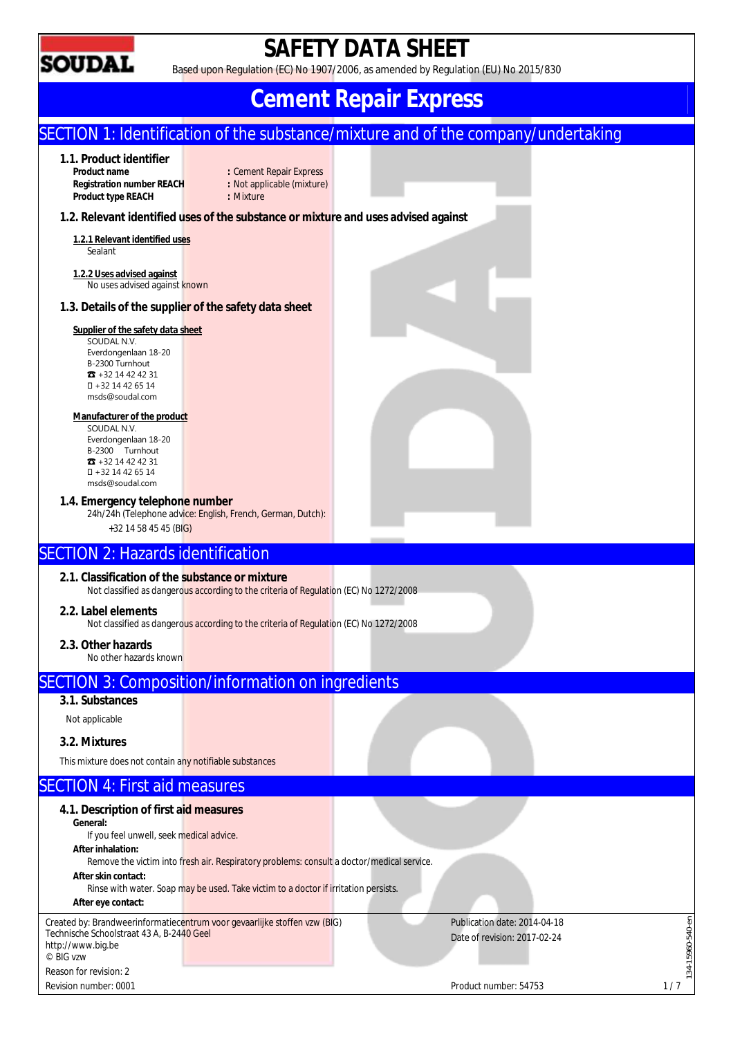

# **SAFETY DATA SHEET**

Based upon Regulation (EC) No 1907/2006, as amended by Regulation (EU) No 2015/830

# **Cement Repair Express**

#### SECTION 1: Identification of the substance/mixture and of the company/undertaking **1.1. Product identifier Product Bepair Express**<br>**Product in Not applicable (mixture) Registration number REACH : Not appl<br>Product type REACH : Mixture Product type REACH 1.2. Relevant identified uses of the substance or mixture and uses advised against 1.2.1 Relevant identified uses**  Sealant **1.2.2 Uses advised against**  No uses advised against known **1.3. Details of the supplier of the safety data sheet Supplier of the safety data sheet**  SOUDAL N.V. Everdongenlaan 18-20 B-2300 Turnhout ☎ +32 14 42 42 31 +32 14 42 65 14 msds@soudal.com **Manufacturer of the product**  SOUDAL N.V. Everdongenlaan 18-20 B-2300 Turnhout ☎ +32 14 42 42 31 +32 14 42 65 14 msds@soudal.com **1.4. Emergency telephone number**  24h/24h (Telephone advice: English, French, German, Dutch): +32 14 58 45 45 (BIG) SECTION 2: Hazards identification **2.1. Classification of the substance or mixture**  Not classified as dangerous according to the criteria of Regulation (EC) No 1272/2008 **2.2. Label elements**  Not classified as dangerous according to the criteria of Regulation (EC) No 1272/2008 **2.3. Other hazards**  No other hazards known SECTION 3: Composition/information on ingredients **3.1. Substances**  Not applicable **3.2. Mixtures**  This mixture does not contain any notifiable substances SECTION 4: First aid measures **4.1. Description of first aid measures General:**  If you feel unwell, seek medical advice. **After inhalation:**  Remove the victim into fresh air. Respiratory problems: consult a doctor/medical service. **After skin contact:**  Rinse with water. Soap may be used. Take victim to a doctor if irritation persists. **After eye contact:**  134-15960-540-en Created by: Brandweerinformatiecentrum voor gevaarlijke stoffen vzw (BIG) Publication date: 2014-04-18 15960-540-en Technische Schoolstraat 43 A, B-2440 Geel Date of revision: 2017-02-24 http://www.big.be © BIG vzw  $134 -$ Reason for revision: 2 Revision number: 0001 2/7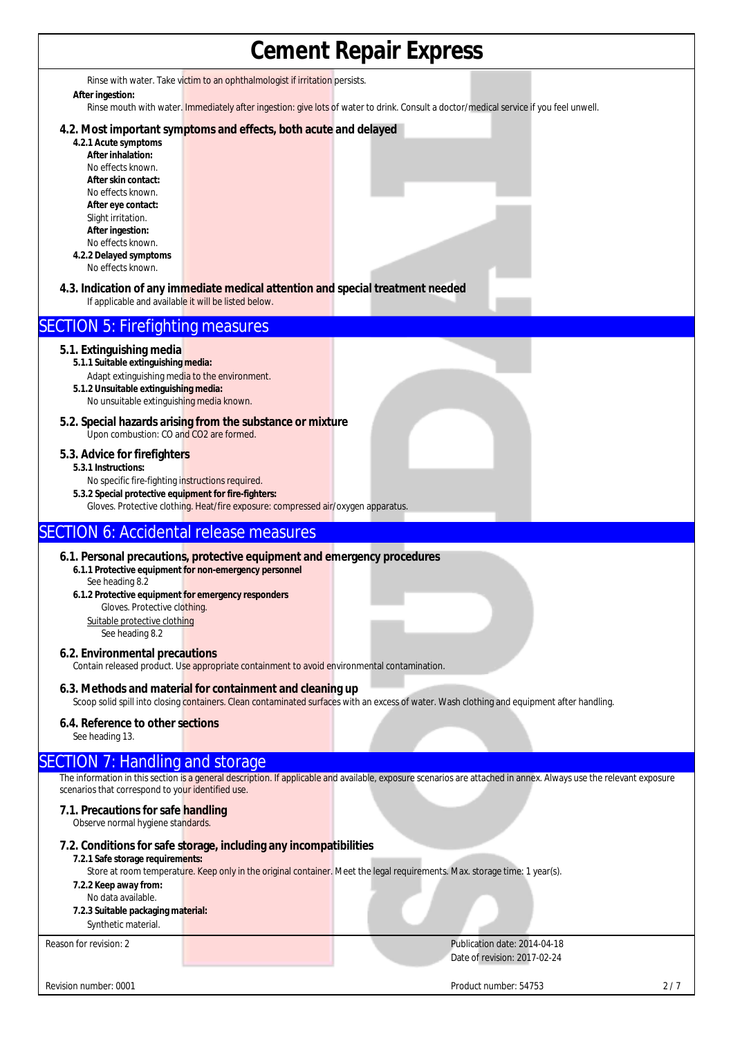| <b>Cement Repair Express</b>                                                                                                                                                                                                                   |                                                                                                                                                          |                                                                                                                                                                   |     |  |  |
|------------------------------------------------------------------------------------------------------------------------------------------------------------------------------------------------------------------------------------------------|----------------------------------------------------------------------------------------------------------------------------------------------------------|-------------------------------------------------------------------------------------------------------------------------------------------------------------------|-----|--|--|
| Rinse with water. Take victim to an ophthalmologist if irritation persists.                                                                                                                                                                    |                                                                                                                                                          |                                                                                                                                                                   |     |  |  |
| After ingestion:                                                                                                                                                                                                                               |                                                                                                                                                          | Rinse mouth with water. Immediately after ingestion: give lots of water to drink. Consult a doctor/medical service if you feel unwell.                            |     |  |  |
| 4.2.1 Acute symptoms<br>After inhalation:<br>No effects known.<br>After skin contact:<br>No effects known.<br>After eye contact:<br>Slight irritation.<br>After ingestion:<br>No effects known.<br>4.2.2 Delayed symptoms<br>No effects known. | 4.2. Most important symptoms and effects, both acute and delayed<br>4.3. Indication of any immediate medical attention and special treatment needed      |                                                                                                                                                                   |     |  |  |
| If applicable and available it will be listed below.                                                                                                                                                                                           |                                                                                                                                                          |                                                                                                                                                                   |     |  |  |
| <b>SECTION 5: Firefighting measures</b>                                                                                                                                                                                                        |                                                                                                                                                          |                                                                                                                                                                   |     |  |  |
| 5.1. Extinguishing media<br>5.1.1 Suitable extinguishing media:<br>Adapt extinguishing media to the environment.<br>5.1.2 Unsuitable extinguishing media:<br>No unsuitable extinguishing media known.                                          |                                                                                                                                                          |                                                                                                                                                                   |     |  |  |
| Upon combustion: CO and CO2 are formed.                                                                                                                                                                                                        | 5.2. Special hazards arising from the substance or mixture                                                                                               |                                                                                                                                                                   |     |  |  |
| 5.3. Advice for firefighters<br>5.3.1 Instructions:<br>No specific fire-fighting instructions required.<br>5.3.2 Special protective equipment for fire-fighters:                                                                               | Gloves. Protective clothing. Heat/fire exposure: compressed air/oxygen apparatus.                                                                        |                                                                                                                                                                   |     |  |  |
| <b>SECTION 6: Accidental release measures</b>                                                                                                                                                                                                  |                                                                                                                                                          |                                                                                                                                                                   |     |  |  |
| See heading 8.2<br>6.1.2 Protective equipment for emergency responders<br>Gloves. Protective clothing.<br>Suitable protective clothing<br>See heading 8.2<br>6.2. Environmental precautions                                                    | 6.1. Personal precautions, protective equipment and emergency procedures<br>6.1.1 Protective equipment for non-emergency personnel                       |                                                                                                                                                                   |     |  |  |
|                                                                                                                                                                                                                                                | Contain released product. Use appropriate containment to avoid environmental contamination.<br>6.3. Methods and material for containment and cleaning up |                                                                                                                                                                   |     |  |  |
|                                                                                                                                                                                                                                                |                                                                                                                                                          | Scoop solid spill into closing containers. Clean contaminated surfaces with an excess of water. Wash clothing and equipment after handling.                       |     |  |  |
| 6.4. Reference to other sections<br>See heading 13.                                                                                                                                                                                            |                                                                                                                                                          |                                                                                                                                                                   |     |  |  |
| <b>SECTION 7: Handling and storage</b>                                                                                                                                                                                                         |                                                                                                                                                          |                                                                                                                                                                   |     |  |  |
| scenarios that correspond to your identified use.                                                                                                                                                                                              |                                                                                                                                                          | The information in this section is a general description. If applicable and available, exposure scenarios are attached in annex. Always use the relevant exposure |     |  |  |
| 7.1. Precautions for safe handling<br>Observe normal hygiene standards.                                                                                                                                                                        |                                                                                                                                                          |                                                                                                                                                                   |     |  |  |
| 7.2.1 Safe storage requirements:<br>7.2.2 Keep away from:<br>No data available.<br>7.2.3 Suitable packaging material:<br>Synthetic material.                                                                                                   | 7.2. Conditions for safe storage, including any incompatibilities                                                                                        | Store at room temperature. Keep only in the original container. Meet the legal requirements. Max. storage time: 1 year(s).                                        |     |  |  |
| Reason for revision: 2                                                                                                                                                                                                                         |                                                                                                                                                          | Publication date: 2014-04-18<br>Date of revision: 2017-02-24                                                                                                      |     |  |  |
| Revision number: 0001                                                                                                                                                                                                                          |                                                                                                                                                          | Product number: 54753                                                                                                                                             | 2/7 |  |  |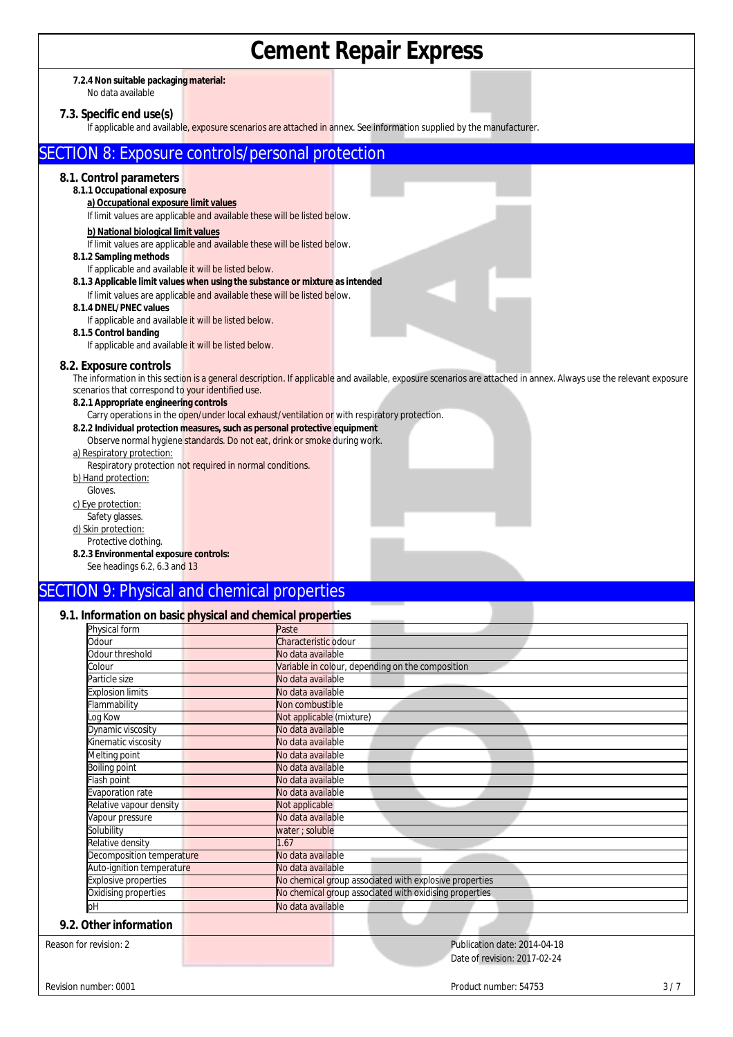# **Cement Repair Express**

#### **7.2.4 Non suitable packaging material:** No data available

# **7.3. Specific end use(s)**

If applicable and available, exposure scenarios are attached in annex. See information supplied by the manufacturer.

## SECTION 8: Exposure controls/personal protection

### **8.1. Control parameters**

- **8.1.1 Occupational exposure** 
	- **a) Occupational exposure limit values**  If limit values are applicable and available these will be listed below.

## **b) National biological limit values**

If limit values are applicable and available these will be listed below.

#### **8.1.2 Sampling methods**

- If applicable and available it will be listed below. **8.1.3 Applicable limit values when using the substance or mixture as intended**
	- If limit values are applicable and available these will be listed below.
- **8.1.4 DNEL/PNEC values**
- If applicable and available it will be listed below.

## **8.1.5 Control banding**

If applicable and available it will be listed below.

#### **8.2. Exposure controls**

The information in this section is a general description. If applicable and available, exposure scenarios are attached in annex. Always use the relevant exposure scenarios that correspond to your identified use.

#### **8.2.1 Appropriate engineering controls**

Carry operations in the open/under local exhaust/ventilation or with respiratory protection.

**8.2.2 Individual protection measures, such as personal protective equipment** Observe normal hygiene standards. Do not eat, drink or smoke during work.

#### a) Respiratory protection:

Respiratory protection not required in normal conditions.

- b) Hand protection:
- Gloves.
- c) Eye protection:
- Safety glasses.
- d) Skin protection:

#### Protective clothing.

**8.2.3 Environmental exposure controls:** 

See headings 6.2, 6.3 and 13

## SECTION 9: Physical and chemical properties

#### **9.1. Information on basic physical and chemical properties**

| Physical form              | Paste                                                  |  |
|----------------------------|--------------------------------------------------------|--|
| Odour                      | Characteristic odour                                   |  |
| <b>Odour threshold</b>     | No data available                                      |  |
| colour.                    | Variable in colour, depending on the composition       |  |
| Particle size              | No data available                                      |  |
| <b>Explosion limits</b>    | No data available                                      |  |
| <b>Iammability</b>         | Non combustible                                        |  |
| og Kow                     | Not applicable (mixture)                               |  |
| Dynamic viscosity          | No data available                                      |  |
| <b>Kinematic viscosity</b> | No data available                                      |  |
| Melting point              | No data available                                      |  |
| Boiling point              | No data available                                      |  |
| lash point                 | No data available                                      |  |
| Evaporation rate           | No data available                                      |  |
| Relative vapour density    | Not applicable                                         |  |
| Vapour pressure            | No data available                                      |  |
| Solubility                 | water ; soluble                                        |  |
| Relative density           | 1.67                                                   |  |
| Decomposition temperature  | No data available                                      |  |
| Auto-ignition temperature  | No data available                                      |  |
| Explosive properties       | No chemical group associated with explosive properties |  |
| Oxidising properties       | No chemical group associated with oxidising properties |  |
| pН                         | No data available                                      |  |
| 9.2. Other information     |                                                        |  |
| Reason for revision: 2     | Publication date: 2014-04-18                           |  |
|                            | Date of revision: 2017-02-24                           |  |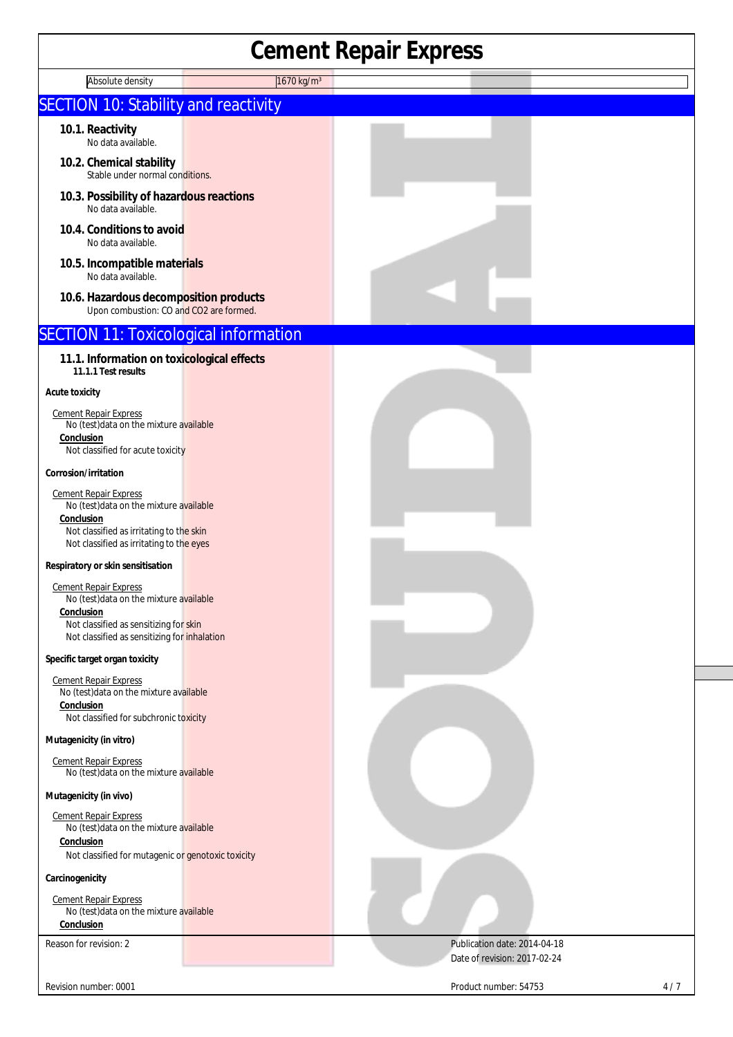# **Cement Repair Express**

| Absolute density                                                                                                                                                                | .<br>1670 kg/m <sup>3</sup> | --- ---                                                      |
|---------------------------------------------------------------------------------------------------------------------------------------------------------------------------------|-----------------------------|--------------------------------------------------------------|
| <b>SECTION 10: Stability and reactivity</b>                                                                                                                                     |                             |                                                              |
| 10.1. Reactivity<br>No data available.                                                                                                                                          |                             |                                                              |
| 10.2. Chemical stability<br>Stable under normal conditions.                                                                                                                     |                             |                                                              |
| 10.3. Possibility of hazardous reactions<br>No data available.                                                                                                                  |                             |                                                              |
| 10.4. Conditions to avoid<br>No data available.                                                                                                                                 |                             |                                                              |
| 10.5. Incompatible materials<br>No data available.                                                                                                                              |                             |                                                              |
| 10.6. Hazardous decomposition products<br>Upon combustion: CO and CO2 are formed.                                                                                               |                             |                                                              |
| <b>SECTION 11: Toxicological information</b>                                                                                                                                    |                             |                                                              |
| 11.1. Information on toxicological effects<br>11.1.1 Test results                                                                                                               |                             |                                                              |
| <b>Acute toxicity</b>                                                                                                                                                           |                             |                                                              |
| <b>Cement Repair Express</b><br>No (test) data on the mixture available<br>Conclusion<br>Not classified for acute toxicity                                                      |                             |                                                              |
| Corrosion/irritation                                                                                                                                                            |                             |                                                              |
| <b>Cement Repair Express</b><br>No (test) data on the mixture available<br>Conclusion<br>Not classified as irritating to the skin<br>Not classified as irritating to the eyes   |                             |                                                              |
| Respiratory or skin sensitisation                                                                                                                                               |                             |                                                              |
| <b>Cement Repair Express</b><br>No (test) data on the mixture available<br>Conclusion<br>Not classified as sensitizing for skin<br>Not classified as sensitizing for inhalation |                             |                                                              |
| Specific target organ toxicity                                                                                                                                                  |                             |                                                              |
| <b>Cement Repair Express</b><br>No (test) data on the mixture available<br>Conclusion<br>Not classified for subchronic toxicity                                                 |                             |                                                              |
| Mutagenicity (in vitro)                                                                                                                                                         |                             |                                                              |
| <b>Cement Repair Express</b><br>No (test) data on the mixture available                                                                                                         |                             |                                                              |
| Mutagenicity (in vivo)                                                                                                                                                          |                             |                                                              |
| <b>Cement Repair Express</b><br>No (test) data on the mixture available<br>Conclusion                                                                                           |                             |                                                              |
| Not classified for mutagenic or genotoxic toxicity                                                                                                                              |                             |                                                              |
| Carcinogenicity                                                                                                                                                                 |                             |                                                              |
| <b>Cement Repair Express</b><br>No (test) data on the mixture available<br>Conclusion                                                                                           |                             |                                                              |
| Reason for revision: 2                                                                                                                                                          |                             | Publication date: 2014-04-18<br>Date of revision: 2017-02-24 |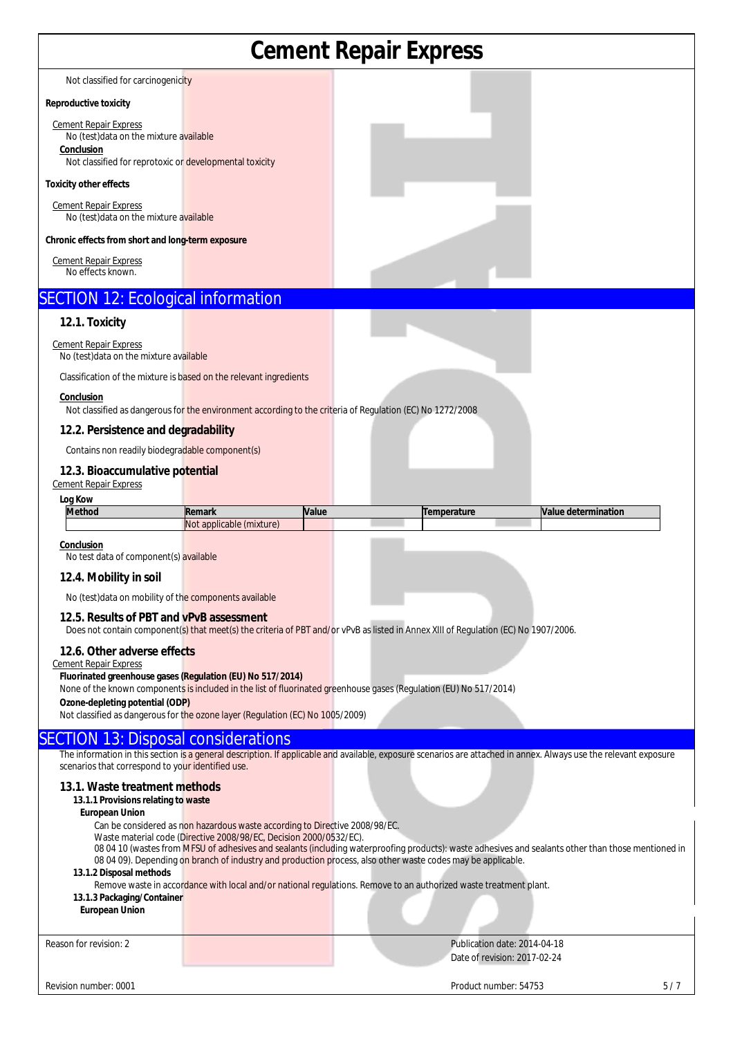## **Cement Repair Express**  Not classified for carcinogenicity **Reproductive toxicity**  Cement Repair Express No (test)data on the mixture available **Conclusion**  Not classified for reprotoxic or developmental toxicity **Toxicity other effects**  Cement Repair Express No (test)data on the mixture available **Chronic effects from short and long-term exposure**  Cement Repair Express No effects known. SECTION 12: Ecological information **12.1. Toxicity** Cement Repair Express No (test)data on the mixture available Classification of the mixture is based on the relevant ingredients **Conclusion**  Not classified as dangerous for the environment according to the criteria of Regulation (EC) No 1272/2008 **12.2. Persistence and degradability**  Contains non readily biodegradable component(s) **12.3. Bioaccumulative potential** Cement Repair Express **Log Kow Method Remark Value Temperature Value determination** Not applicable (mixture) **Conclusion**  No test data of component(s) available **12.4. Mobility in soil**  No (test)data on mobility of the components available **12.5. Results of PBT and vPvB assessment**  Does not contain component(s) that meet(s) the criteria of PBT and/or vPvB as listed in Annex XIII of Regulation (EC) No 1907/2006. **12.6. Other adverse effects**  Cement Repair Express **Fluorinated greenhouse gases (Regulation (EU) No 517/2014)**  None of the known components is included in the list of fluorinated greenhouse gases (Regulation (EU) No 517/2014) **Ozone-depleting potential (ODP)**  Not classified as dangerous for the ozone layer (Regulation (EC) No 1005/2009) SECTION 13: Disposal considerations The information in this section is a general description. If applicable and available, exposure scenarios are attached in annex. Always use the relevant exposure scenarios that correspond to your identified use **13.1. Waste treatment methods 13.1.1 Provisions relating to waste European Union**  Can be considered as non hazardous waste according to Directive 2008/98/EC. Waste material code (Directive 2008/98/EC, Decision 2000/0532/EC). 08 04 10 (wastes from MFSU of adhesives and sealants (including waterproofing products): waste adhesives and sealants other than those mentioned in 08 04 09). Depending on branch of industry and production process, also other waste codes may be applicable. **13.1.2 Disposal methods**  Remove waste in accordance with local and/or national regulations. Remove to an authorized waste treatment plant. **13.1.3 Packaging/Container European Union**

Reason for revision: 2 Publication date: 2014-04-18 Date of revision: 2017-02-24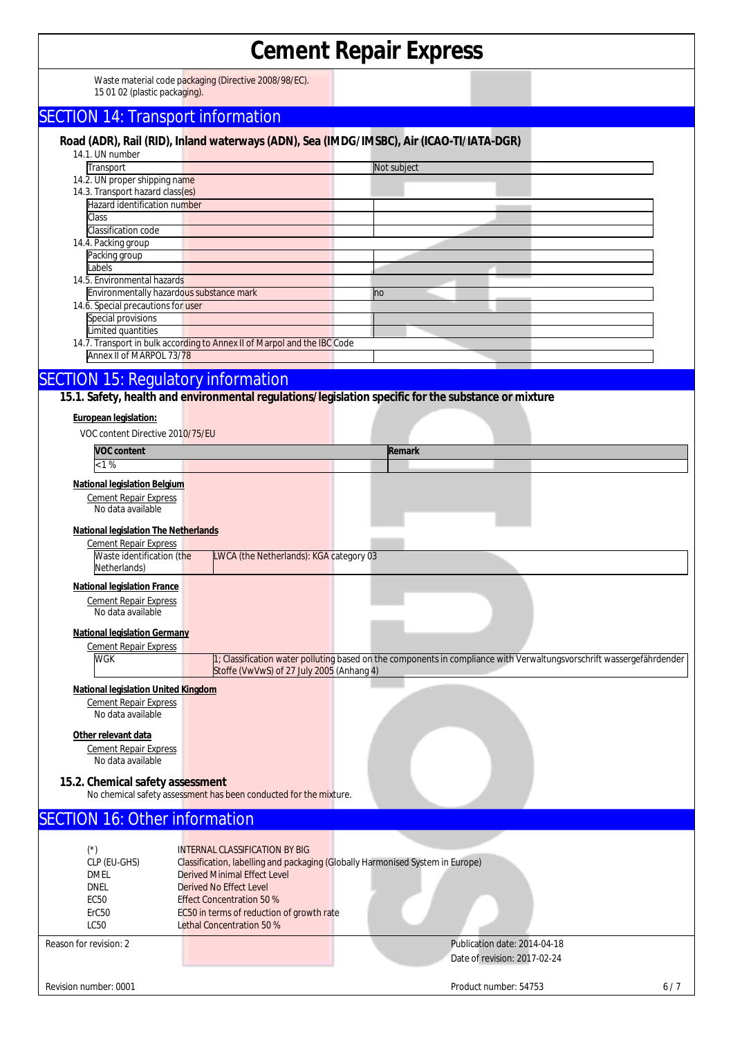### **Cement Repair Express**  Waste material code packaging (Directive 2008/98/EC). 15 01 02 (plastic packaging). SECTION 14: Transport information **Road (ADR), Rail (RID), Inland waterways (ADN), Sea (IMDG/IMSBC), Air (ICAO-TI/IATA-DGR)**  14.1. UN number Transport Not subject 14.2. UN proper shipping name 14.3. Transport hazard class(es) Hazard identification number Class Classification code 14.4. Packing group Packing group Labels 14.5. Environmental hazards Environmentally hazardous substance mark no matter that the no 14.6. Special precautions for user Special provisions Limited quantities 14.7. Transport in bulk according to Annex II of Marpol and the IBC Code Annex II of MARPOL 73/78 SECTION 15: Regulatory information **15.1. Safety, health and environmental regulations/legislation specific for the substance or mixture European legislation:**  VOC content Directive 2010/75/EU **VOC content** Remark  $< 1\%$ **National legislation Belgium**  Cement Repair Express No data available **National legislation The Netherlands** Cement Repair Express Waste identification (the Netherlands) LWCA (the Netherlands): KGA category 03 **National legislation France**  Cement Repair Express No data available **National legislation Germany**  Cement Repair Express WGK 1; Classification water polluting based on the components in compliance with Verwaltungsvorschrift wassergefährdender Stoffe (VwVwS) of 27 July 2005 (Anhang 4) **National legislation United Kingdom** Cement Repair Express No data available **Other relevant data**  Cement Repair Express No data available **15.2. Chemical safety assessment** No chemical safety assessment has been conducted for the mixture. SECTION 16: Other information (\*) INTERNAL CLASSIFICATION BY BIG CLP (EU-GHS) Classification, labelling and packaging (Globally Harmonised System in Europe) Derived Minimal Effect Level Derived No Effect Level<br>Ecso Effect Concentration 50 Effect Concentration 50 % ErC50 EC50 in terms of reduction of growth rate LC50 Lethal Concentration 50 % Reason for revision: 2 Publication date: 2014-04-18 Date of revision: 2017-02-24 Revision number: 0001 Product number: 54753 Archives and Archives and Archives and Archives and Archives and Archives and Archives and Archives and Archives and Archives and Archives and Archives and Archives and Archives